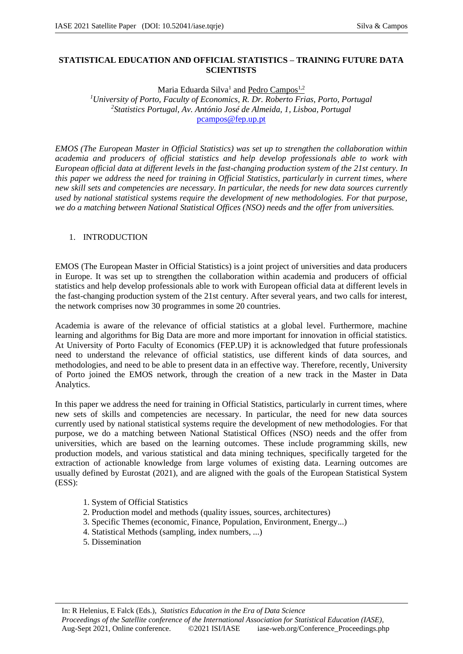# **STATISTICAL EDUCATION AND OFFICIAL STATISTICS – TRAINING FUTURE DATA SCIENTISTS**

Maria Eduarda Silva<sup>1</sup> and Pedro Campos<sup>1,2</sup>

*<sup>1</sup>University of Porto, Faculty of Economics, R. Dr. Roberto Frias, Porto, Portugal 2 Statistics Portugal, Av. António José de Almeida, 1, Lisboa, Portugal*  pcampos@fep.up.pt

*EMOS (The European Master in Official Statistics) was set up to strengthen the collaboration within academia and producers of official statistics and help develop professionals able to work with European official data at different levels in the fast-changing production system of the 21st century. In this paper we address the need for training in Official Statistics, particularly in current times, where new skill sets and competencies are necessary. In particular, the needs for new data sources currently used by national statistical systems require the development of new methodologies. For that purpose, we do a matching between National Statistical Offices (NSO) needs and the offer from universities.* 

## 1. INTRODUCTION

EMOS (The European Master in Official Statistics) is a joint project of universities and data producers in Europe. It was set up to strengthen the collaboration within academia and producers of official statistics and help develop professionals able to work with European official data at different levels in the fast-changing production system of the 21st century. After several years, and two calls for interest, the network comprises now 30 programmes in some 20 countries.

Academia is aware of the relevance of official statistics at a global level. Furthermore, machine learning and algorithms for Big Data are more and more important for innovation in official statistics. At University of Porto Faculty of Economics (FEP.UP) it is acknowledged that future professionals need to understand the relevance of official statistics, use different kinds of data sources, and methodologies, and need to be able to present data in an effective way. Therefore, recently, University of Porto joined the EMOS network, through the creation of a new track in the Master in Data Analytics.

In this paper we address the need for training in Official Statistics, particularly in current times, where new sets of skills and competencies are necessary. In particular, the need for new data sources currently used by national statistical systems require the development of new methodologies. For that purpose, we do a matching between National Statistical Offices (NSO) needs and the offer from universities, which are based on the learning outcomes. These include programming skills, new production models, and various statistical and data mining techniques, specifically targeted for the extraction of actionable knowledge from large volumes of existing data. Learning outcomes are usually defined by Eurostat (2021), and are aligned with the goals of the European Statistical System (ESS):

- 1. System of Official Statistics
- 2. Production model and methods (quality issues, sources, architectures)
- 3. Specific Themes (economic, Finance, Population, Environment, Energy...)
- 4. Statistical Methods (sampling, index numbers, ...)
- 5. Dissemination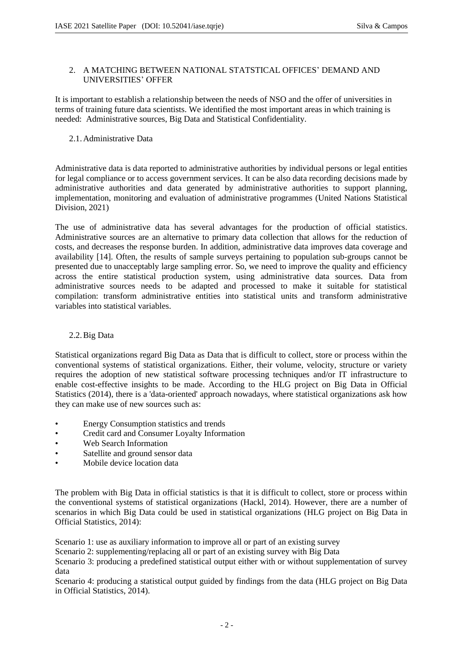#### 2. A MATCHING BETWEEN NATIONAL STATSTICAL OFFICES' DEMAND AND UNIVERSITIES' OFFER

It is important to establish a relationship between the needs of NSO and the offer of universities in terms of training future data scientists. We identified the most important areas in which training is needed: Administrative sources, Big Data and Statistical Confidentiality.

### 2.1.Administrative Data

Administrative data is data reported to administrative authorities by individual persons or legal entities for legal compliance or to access government services. It can be also data recording decisions made by administrative authorities and data generated by administrative authorities to support planning, implementation, monitoring and evaluation of administrative programmes (United Nations Statistical Division, 2021)

The use of administrative data has several advantages for the production of official statistics. Administrative sources are an alternative to primary data collection that allows for the reduction of costs, and decreases the response burden. In addition, administrative data improves data coverage and availability [14]. Often, the results of sample surveys pertaining to population sub-groups cannot be presented due to unacceptably large sampling error. So, we need to improve the quality and efficiency across the entire statistical production system, using administrative data sources. Data from administrative sources needs to be adapted and processed to make it suitable for statistical compilation: transform administrative entities into statistical units and transform administrative variables into statistical variables.

## 2.2.Big Data

Statistical organizations regard Big Data as Data that is difficult to collect, store or process within the conventional systems of statistical organizations. Either, their volume, velocity, structure or variety requires the adoption of new statistical software processing techniques and/or IT infrastructure to enable cost-effective insights to be made. According to the HLG project on Big Data in Official Statistics (2014), there is a 'data-oriented' approach nowadays, where statistical organizations ask how they can make use of new sources such as:

- Energy Consumption statistics and trends
- Credit card and Consumer Loyalty Information
- Web Search Information
- Satellite and ground sensor data
- Mobile device location data

The problem with Big Data in official statistics is that it is difficult to collect, store or process within the conventional systems of statistical organizations (Hackl, 2014). However, there are a number of scenarios in which Big Data could be used in statistical organizations (HLG project on Big Data in Official Statistics, 2014):

Scenario 1: use as auxiliary information to improve all or part of an existing survey

Scenario 2: supplementing/replacing all or part of an existing survey with Big Data

Scenario 3: producing a predefined statistical output either with or without supplementation of survey data

Scenario 4: producing a statistical output guided by findings from the data (HLG project on Big Data in Official Statistics, 2014).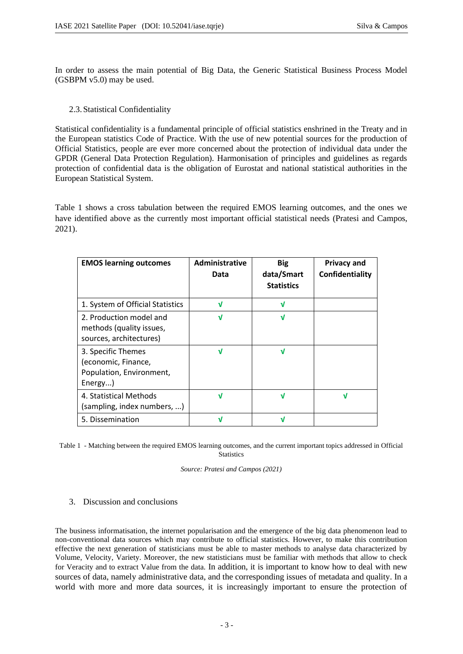In order to assess the main potential of Big Data, the Generic Statistical Business Process Model (GSBPM v5.0) may be used.

## 2.3.Statistical Confidentiality

Statistical confidentiality is a fundamental principle of official statistics enshrined in the Treaty and in the European statistics Code of Practice. With the use of new potential sources for the production of Official Statistics, people are ever more concerned about the protection of individual data under the GPDR (General Data Protection Regulation). Harmonisation of principles and guidelines as regards protection of confidential data is the obligation of Eurostat and national statistical authorities in the European Statistical System.

Table 1 shows a cross tabulation between the required EMOS learning outcomes, and the ones we have identified above as the currently most important official statistical needs (Pratesi and Campos, 2021).

| <b>EMOS learning outcomes</b>                                                    | Administrative<br>Data | <b>Big</b><br>data/Smart<br><b>Statistics</b> | <b>Privacy and</b><br>Confidentiality |
|----------------------------------------------------------------------------------|------------------------|-----------------------------------------------|---------------------------------------|
| 1. System of Official Statistics                                                 | V                      | V                                             |                                       |
| 2. Production model and<br>methods (quality issues,<br>sources, architectures)   | J                      | V                                             |                                       |
| 3. Specific Themes<br>(economic, Finance,<br>Population, Environment,<br>Energy) | V                      | V                                             |                                       |
| 4. Statistical Methods<br>(sampling, index numbers, )                            | V                      |                                               |                                       |
| 5. Dissemination                                                                 |                        |                                               |                                       |

Table 1 - Matching between the required EMOS learning outcomes, and the current important topics addressed in Official **Statistics** 

*Source: Pratesi and Campos (2021)*

3. Discussion and conclusions

The business informatisation, the internet popularisation and the emergence of the big data phenomenon lead to non-conventional data sources which may contribute to official statistics. However, to make this contribution effective the next generation of statisticians must be able to master methods to analyse data characterized by Volume, Velocity, Variety. Moreover, the new statisticians must be familiar with methods that allow to check for Veracity and to extract Value from the data. In addition, it is important to know how to deal with new sources of data, namely administrative data, and the corresponding issues of metadata and quality. In a world with more and more data sources, it is increasingly important to ensure the protection of